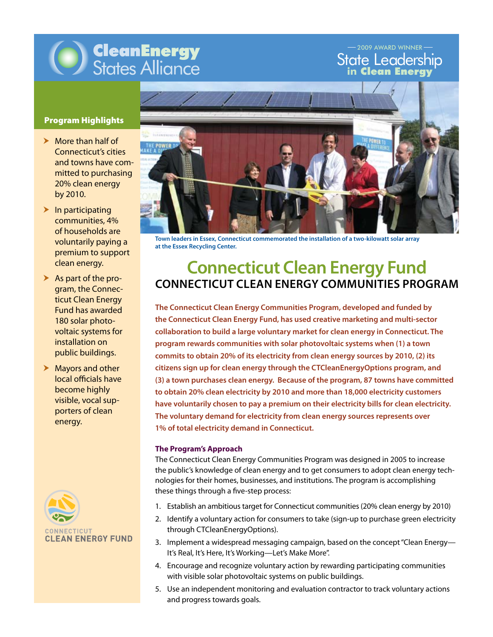

State Leadership **in** Clean Energy -2009 AWARD WINNER

# Program Highlights

- $\blacktriangleright$  More than half of Connecticut's cities and towns have committed to purchasing 20% clean energy by 2010.
- $\blacktriangleright$  In participating communities, 4% of households are voluntarily paying a premium to support clean energy.
- $\blacktriangleright$  As part of the program, the Connecticut Clean Energy Fund has awarded 180 solar photovoltaic systems for installation on public buildings.
- $\blacktriangleright$  Mayors and other local officials have become highly visible, vocal supporters of clean energy.





**Town leaders in Essex, Connecticut commemorated the installation of a two-kilowatt solar array at the Essex Recycling Center.**

# **Connecticut Clean Energy Fund** 50 State Street, Suite 1 **Connecticut Clean Energy Communities Program**

**The Connecticut Clean Energy Communities Program, developed and funded by** ر<br>The Connecticut Clean Energy Fund, has used creative marketing and multi-sector Fax 802.223.4967 **collaboration to build a large voluntary market for clean energy in Connecticut. The**  Foldman y manter for creamentary commits to obtain 20% of its electricity from clean energy sources by 2010, (2) its **program rewards communities with solar photovoltaic systems when (1) a town citizens sign up for clean energy through the CTCleanEnergyOptions program, and (3) a town purchases clean energy. Because of the program, 87 towns have committed to obtain 20% clean electricity by 2010 and more than 18,000 electricity customers have voluntarily chosen to pay a premium on their electricity bills for clean electricity. The voluntary demand for electricity from clean energy sources represents over 1% of total electricity demand in Connecticut.**

## **The Program's Approach**

The Connecticut Clean Energy Communities Program was designed in 2005 to increase the public's knowledge of clean energy and to get consumers to adopt clean energy technologies for their homes, businesses, and institutions. The program is accomplishing these things through a five-step process:

- 1. Establish an ambitious target for Connecticut communities (20% clean energy by 2010)
- 2. Identify a voluntary action for consumers to take (sign-up to purchase green electricity through CTCleanEnergyOptions).
- 3. Implement a widespread messaging campaign, based on the concept "Clean Energy-It's Real, It's Here, It's Working—Let's Make More".
- 4. Encourage and recognize voluntary action by rewarding participating communities with visible solar photovoltaic systems on public buildings.
- 5. Use an independent monitoring and evaluation contractor to track voluntary actions and progress towards goals.